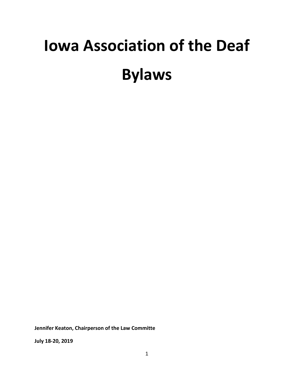# **Iowa Association of the Deaf Bylaws**

**Jennifer Keaton, Chairperson of the Law Committe**

**July 18-20, 2019**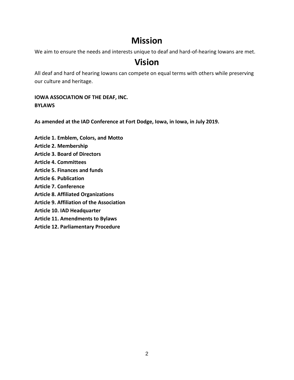# **Mission**

We aim to ensure the needs and interests unique to deaf and hard-of-hearing Iowans are met.

## **Vision**

All deaf and hard of hearing Iowans can compete on equal terms with others while preserving our culture and heritage.

**IOWA ASSOCIATION OF THE DEAF, INC. BYLAWS**

**As amended at the IAD Conference at Fort Dodge, Iowa, in Iowa, in July 2019.**

- **Article 1. Emblem, Colors, and Motto**
- **Article 2. Membership**
- **Article 3. Board of Directors**
- **Article 4. Committees**
- **Article 5. Finances and funds**
- **Article 6. Publication**
- **Article 7. Conference**
- **Article 8. Affiliated Organizations**
- **Article 9. Affiliation of the Association**
- **Article 10. IAD Headquarter**
- **Article 11. Amendments to Bylaws**
- **Article 12. Parliamentary Procedure**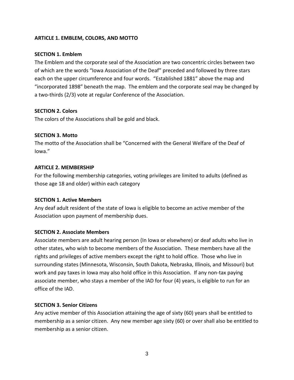## **ARTICLE 1. EMBLEM, COLORS, AND MOTTO**

#### **SECTION 1. Emblem**

The Emblem and the corporate seal of the Association are two concentric circles between two of which are the words "Iowa Association of the Deaf" preceded and followed by three stars each on the upper circumference and four words. "Established 1881" above the map and "incorporated 1898" beneath the map. The emblem and the corporate seal may be changed by a two-thirds (2/3) vote at regular Conference of the Association.

## **SECTION 2. Colors**

The colors of the Associations shall be gold and black.

#### **SECTION 3. Motto**

The motto of the Association shall be "Concerned with the General Welfare of the Deaf of Iowa."

#### **ARTICLE 2. MEMBERSHIP**

For the following membership categories, voting privileges are limited to adults (defined as those age 18 and older) within each category

#### **SECTION 1. Active Members**

Any deaf adult resident of the state of Iowa is eligible to become an active member of the Association upon payment of membership dues.

#### **SECTION 2. Associate Members**

Associate members are adult hearing person (In Iowa or elsewhere) or deaf adults who live in other states, who wish to become members of the Association. These members have all the rights and privileges of active members except the right to hold office. Those who live in surrounding states (Minnesota, Wisconsin, South Dakota, Nebraska, Illinois, and Missouri) but work and pay taxes in Iowa may also hold office in this Association. If any non-tax paying associate member, who stays a member of the IAD for four (4) years, is eligible to run for an office of the IAD.

#### **SECTION 3. Senior Citizens**

Any active member of this Association attaining the age of sixty (60) years shall be entitled to membership as a senior citizen. Any new member age sixty (60) or over shall also be entitled to membership as a senior citizen.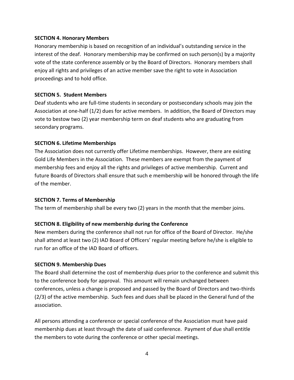#### **SECTION 4. Honorary Members**

Honorary membership is based on recognition of an individual's outstanding service in the interest of the deaf. Honorary membership may be confirmed on such person(s) by a majority vote of the state conference assembly or by the Board of Directors. Honorary members shall enjoy all rights and privileges of an active member save the right to vote in Association proceedings and to hold office.

## **SECTION 5. Student Members**

Deaf students who are full-time students in secondary or postsecondary schools may join the Association at one-half (1/2) dues for active members. In addition, the Board of Directors may vote to bestow two (2) year membership term on deaf students who are graduating from secondary programs.

## **SECTION 6. Lifetime Memberships**

The Association does not currently offer Lifetime memberships. However, there are existing Gold Life Members in the Association. These members are exempt from the payment of membership fees and enjoy all the rights and privileges of active membership. Current and future Boards of Directors shall ensure that such e membership will be honored through the life of the member.

#### **SECTION 7. Terms of Membership**

The term of membership shall be every two (2) years in the month that the member joins.

## **SECTION 8. Eligibility of new membership during the Conference**

New members during the conference shall not run for office of the Board of Director. He/she shall attend at least two (2) IAD Board of Officers' regular meeting before he/she is eligible to run for an office of the IAD Board of officers.

#### **SECTION 9. Membership Dues**

The Board shall determine the cost of membership dues prior to the conference and submit this to the conference body for approval. This amount will remain unchanged between conferences, unless a change is proposed and passed by the Board of Directors and two-thirds (2/3) of the active membership. Such fees and dues shall be placed in the General fund of the association.

All persons attending a conference or special conference of the Association must have paid membership dues at least through the date of said conference. Payment of due shall entitle the members to vote during the conference or other special meetings.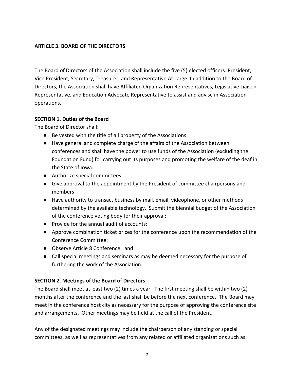## **ARTICLE 3. BOARD OF THE DIRECTORS**

The Board of Directors of the Association shall include the five (5) elected officers: President, Vice President, Secretary, Treasurer, and Representative At Large. In addition to the Board of Directors, the Association shall have Affiliated Organization Representatives, Legislative Liaison Representative, and Education Advocate Representative to assist and advise in Association operations.

## **SECTION 1. Duties of the Board**

The Board of Director shall:

- Be vested with the title of all property of the Associations:
- Have general and complete charge of the affairs of the Association between conferences and shall have the power to use funds of the Association (excluding the Foundation Fund) for carrying out its purposes and promoting the welfare of the deaf in the State of Iowa:
- Authorize special committees:
- Give approval to the appointment by the President of committee chairpersons and members
- Have authority to transact business by mail, email, videophone, or other methods determined by the available technology. Submit the biennial budget of the Association of the conference voting body for their approval:
- Provide for the annual audit of accounts:
- Approve combination ticket prices for the conference upon the recommendation of the Conference Committee:
- Observe Article 8 Conference: and
- Call special meetings and seminars as may be deemed necessary for the purpose of furthering the work of the Association:

## **SECTION 2. Meetings of the Board of Directors**

The Board shall meet at least two (2) times a year. The first meeting shall be within two (2) months after the conference and the last shall be before the next conference. The Board may meet in the conference host city as necessary for the purpose of approving the conference site and arrangements. Other meetings may be held at the call of the President.

Any of the designated meetings may include the chairperson of any standing or special committees, as well as representatives from any related or affiliated organizations such as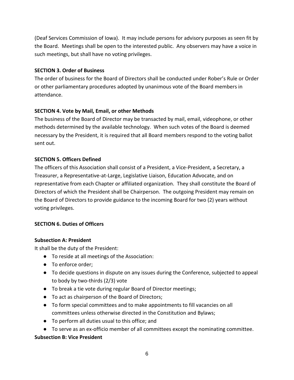(Deaf Services Commission of Iowa). It may include persons for advisory purposes as seen fit by the Board. Meetings shall be open to the interested public. Any observers may have a voice in such meetings, but shall have no voting privileges.

## **SECTION 3. Order of Business**

The order of business for the Board of Directors shall be conducted under Rober's Rule or Order or other parliamentary procedures adopted by unanimous vote of the Board members in attendance.

## **SECTION 4. Vote by Mail, Email, or other Methods**

The business of the Board of Director may be transacted by mail, email, videophone, or other methods determined by the available technology. When such votes of the Board is deemed necessary by the President, it is required that all Board members respond to the voting ballot sent out.

## **SECTION 5. Officers Defined**

The officers of this Association shall consist of a President, a Vice-President, a Secretary, a Treasurer, a Representative-at-Large, Legislative Liaison, Education Advocate, and on representative from each Chapter or affiliated organization. They shall constitute the Board of Directors of which the President shall be Chairperson. The outgoing President may remain on the Board of Directors to provide guidance to the incoming Board for two (2) years without voting privileges.

## **SECTION 6. Duties of Officers**

## **Subsection A: President**

It shall be the duty of the President:

- To reside at all meetings of the Association:
- To enforce order:
- To decide questions in dispute on any issues during the Conference, subjected to appeal to body by two-thirds (2/3) vote
- To break a tie vote during regular Board of Director meetings;
- To act as chairperson of the Board of Directors;
- To form special committees and to make appointments to fill vacancies on all committees unless otherwise directed in the Constitution and Bylaws;
- To perform all duties usual to this office; and
- To serve as an ex-officio member of all committees except the nominating committee.

## **Subsection B: Vice President**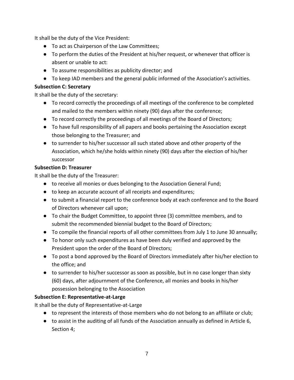It shall be the duty of the Vice President:

- To act as Chairperson of the Law Committees;
- To perform the duties of the President at his/her request, or whenever that officer is absent or unable to act:
- To assume responsibilities as publicity director; and
- To keep IAD members and the general public informed of the Association's activities.

## **Subsection C: Secretary**

It shall be the duty of the secretary:

- To record correctly the proceedings of all meetings of the conference to be completed and mailed to the members within ninety (90) days after the conference;
- To record correctly the proceedings of all meetings of the Board of Directors;
- To have full responsibility of all papers and books pertaining the Association except those belonging to the Treasurer; and
- to surrender to his/her successor all such stated above and other property of the Association, which he/she holds within ninety (90) days after the election of his/her successor

## **Subsection D: Treasurer**

It shall be the duty of the Treasurer:

- to receive all monies or dues belonging to the Association General Fund;
- to keep an accurate account of all receipts and expenditures;
- to submit a financial report to the conference body at each conference and to the Board of Directors whenever call upon;
- To chair the Budget Committee, to appoint three (3) committee members, and to submit the recommended biennial budget to the Board of Directors;
- To compile the financial reports of all other committees from July 1 to June 30 annually;
- To honor only such expenditures as have been duly verified and approved by the President upon the order of the Board of DIrectors;
- To post a bond approved by the Board of Directors immediately after his/her election to the office; and
- to surrender to his/her successor as soon as possible, but in no case longer than sixty (60) days, after adjournment of the Conference, all monies and books in his/her possession belonging to the Association

## **Subsection E: Representative-at-Large**

It shall be the duty of Representative-at-Large

- to represent the interests of those members who do not belong to an affiliate or club;
- to assist in the auditing of all funds of the Association annually as defined in Article 6, Section 4;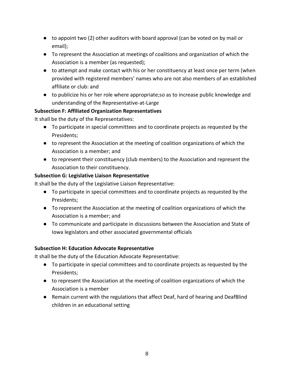- to appoint two (2) other auditors with board approval (can be voted on by mail or email);
- To represent the Association at meetings of coalitions and organization of which the Association is a member (as requested);
- to attempt and make contact with his or her constituency at least once per term (when provided with registered members' names who are not also members of an established affiliate or club: and
- to publicize his or her role where appropriate;so as to increase public knowledge and understanding of the Representative-at-Large

## **Subsection F: Affiliated Organization Representatives**

It shall be the duty of the Representatives:

- To participate in special committees and to coordinate projects as requested by the Presidents;
- to represent the Association at the meeting of coalition organizations of which the Association is a member; and
- to represent their constituency (club members) to the Association and represent the Association to their constituency.

## **Subsection G: Legislative Liaison Representative**

It shall be the duty of the Legislative Liaison Representative:

- To participate in special committees and to coordinate projects as requested by the Presidents;
- To represent the Association at the meeting of coalition organizations of which the Association is a member; and
- To communicate and participate in discussions between the Association and State of Iowa legislators and other associated governmental officials

## **Subsection H: Education Advocate Representative**

It shall be the duty of the Education Advocate Representative:

- To participate in special committees and to coordinate projects as requested by the Presidents;
- to represent the Association at the meeting of coalition organizations of which the Association is a member
- Remain current with the regulations that affect Deaf, hard of hearing and DeafBlind children in an educational setting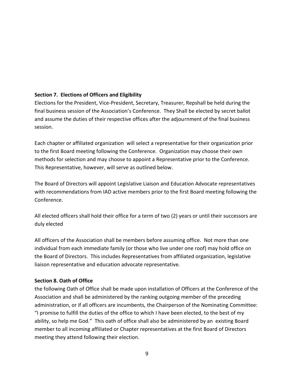## **Section 7. Elections of Officers and Eligibility**

Elections for the President, Vice-President, Secretary, Treasurer, Repshall be held during the final business session of the Association's Conference. They Shall be elected by secret ballot and assume the duties of their respective offices after the adjournment of the final business session.

Each chapter or affiliated organization will select a representative for their organization prior to the first Board meeting following the Conference. Organization may choose their own methods for selection and may choose to appoint a Representative prior to the Conference. This Representative, however, will serve as outlined below.

The Board of Directors will appoint Legislative Liaison and Education Advocate representatives with recommendations from IAD active members prior to the first Board meeting following the Conference.

All elected officers shall hold their office for a term of two (2) years or until their successors are duly elected

All officers of the Association shall be members before assuming office. Not more than one individual from each immediate family (or those who live under one roof) may hold office on the Board of Directors. This includes Representatives from affiliated organization, legislative liaison representative and education advocate representative.

## **Section 8. Oath of Office**

the following Oath of Office shall be made upon installation of Officers at the Conference of the Association and shall be administered by the ranking outgoing member of the preceding administration, or if all officers are incumbents, the Chairperson of the Nominating Committee: "I promise to fulfill the duties of the office to which I have been elected, to the best of my ability, so help me God." This oath of office shall also be administered by an existing Board member to all incoming affiliated or Chapter representatives at the first Board of Directors meeting they attend following their election.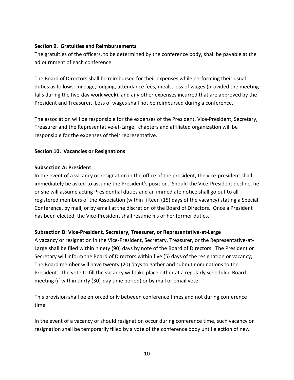## **Section 9. Gratuities and Reimbursements**

The gratuities of the officers, to be determined by the conference body, shall be payable at the adjournment of each conference

The Board of Directors shall be reimbursed for their expenses while performing their usual duties as follows: mileage, lodging, attendance fees, meals, loss of wages (provided the meeting falls during the five-day work week), and any other expenses incurred that are approved by the President and Treasurer. Loss of wages shall not be reimbursed during a conference.

The association will be responsible for the expenses of the President, Vice-President, Secretary, Treasurer and the Representative-at-Large. chapters and affiliated organization will be responsible for the expenses of their representative.

## **Section 10. Vacancies or Resignations**

## **Subsection A: President**

In the event of a vacancy or resignation in the office of the president, the vice-president shall immediately be asked to assume the President's position. Should the Vice-President decline, he or she will assume acting Presidential duties and an immediate notice shall go out to all registered members of the Association (within fifteen (15) days of the vacancy) stating a Special Conference, by mail, or by email at the discretion of the Board of Directors. Once a President has been elected, the Vice-President shall resume his or her former duties.

## **Subsection B: Vice-President, Secretary, Treasurer, or Representative-at-Large**

A vacancy or resignation in the Vice-President, Secretary, Treasurer, or the Representative-at-Large shall be filed within ninety (90) days by note of the Board of Directors. The President or Secretary will inform the Board of Directors within five (5) days of the resignation or vacancy; The Board member will have twenty (20) days to gather and submit nominations to the President. The vote to fill the vacancy will take place either at a regularly scheduled Board meeting (if within thirty (30)-day time period) or by mail or email vote.

This provision shall be enforced only between conference times and not during conference time.

In the event of a vacancy or should resignation occur during conference time, such vacancy or resignation shall be temporarily filled by a vote of the conference body until election of new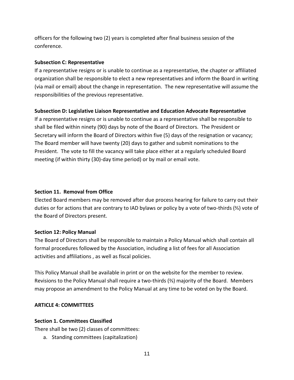officers for the following two (2) years is completed after final business session of the conference.

#### **Subsection C: Representative**

If a representative resigns or is unable to continue as a representative, the chapter or affiliated organization shall be responsible to elect a new representatives and inform the Board in writing (via mail or email) about the change in representation. The new representative will assume the responsibilities of the previous representative.

#### **Subsection D: Legislative Liaison Representative and Education Advocate Representative**

If a representative resigns or is unable to continue as a representative shall be responsible to shall be filed within ninety (90) days by note of the Board of Directors. The President or Secretary will inform the Board of Directors within five (5) days of the resignation or vacancy; The Board member will have twenty (20) days to gather and submit nominations to the President. The vote to fill the vacancy will take place either at a regularly scheduled Board meeting (if within thirty (30)-day time period) or by mail or email vote.

#### **Section 11. Removal from Office**

Elected Board members may be removed after due process hearing for failure to carry out their duties or for actions that are contrary to IAD bylaws or policy by a vote of two-thirds (⅔) vote of the Board of Directors present.

#### **Section 12: Policy Manual**

The Board of Directors shall be responsible to maintain a Policy Manual which shall contain all formal procedures followed by the Association, including a list of fees for all Association activities and affiliations , as well as fiscal policies.

This Policy Manual shall be available in print or on the website for the member to review. Revisions to the Policy Manual shall require a two-thirds (⅔) majority of the Board. Members may propose an amendment to the Policy Manual at any time to be voted on by the Board.

#### **ARTICLE 4: COMMITTEES**

#### **Section 1. Committees Classified**

There shall be two (2) classes of committees:

a. Standing committees (capitalization)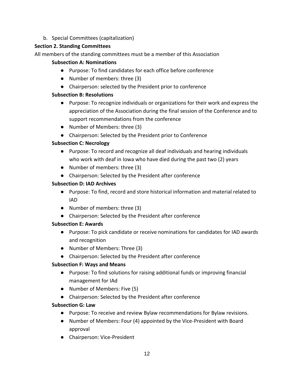b. Special Committees (capitalization)

## **Section 2. Standing Committees**

All members of the standing committees must be a member of this Association

## **Subsection A: Nominations**

- Purpose: To find candidates for each office before conference
- Number of members: three (3)
- Chairperson: selected by the President prior to conference

## **Subsection B: Resolutions**

- Purpose: To recognize individuals or organizations for their work and express the appreciation of the Association during the final session of the Conference and to support recommendations from the conference
- Number of Members: three (3)
- Chairperson: Selected by the President prior to Conference

## **Subsection C: Necrology**

- Purpose: To record and recognize all deaf individuals and hearing individuals who work with deaf in Iowa who have died during the past two (2) years
- Number of members: three (3)
- Chairperson: Selected by the President after conference

## **Subsection D: IAD Archives**

- Purpose: To find, record and store historical information and material related to IAD
- Number of members: three (3)
- Chairperson: Selected by the President after conference

## **Subsection E: Awards**

- Purpose: To pick candidate or receive nominations for candidates for IAD awards and recognition
- Number of Members: Three (3)
- Chairperson: Selected by the President after conference

## **Subsection F: Ways and Means**

- Purpose: To find solutions for raising additional funds or improving financial management for IAd
- Number of Members: Five (5)
- Chairperson: Selected by the President after conference

## **Subsection G: Law**

- Purpose: To receive and review Bylaw recommendations for Bylaw revisions.
- Number of Members: Four (4) appointed by the Vice-President with Board approval
- Chairperson: Vice-President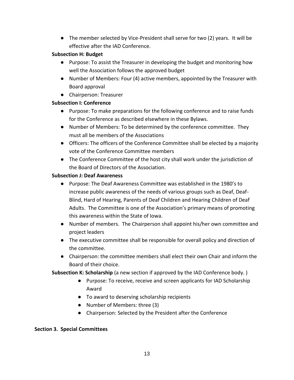● The member selected by Vice-President shall serve for two (2) years. It will be effective after the IAD Conference.

## **Subsection H: Budget**

- Purpose: To assist the Treasurer in developing the budget and monitoring how well the Association follows the approved budget
- Number of Members: Four (4) active members, appointed by the Treasurer with Board approval
- Chairperson: Treasurer

## **Subsection I: Conference**

- Purpose: To make preparations for the following conference and to raise funds for the Conference as described elsewhere in these Bylaws.
- Number of Members: To be determined by the conference committee. They must all be members of the Associations
- Officers: The officers of the Conference Committee shall be elected by a majority vote of the Conference Committee members
- The Conference Committee of the host city shall work under the jurisdiction of the Board of Directors of the Association.

## **Subsection J: Deaf Awareness**

- Purpose: The Deaf Awareness Committee was established in the 1980's to increase public awareness of the needs of various groups such as Deaf, Deaf-Blind, Hard of Hearing, Parents of Deaf Children and Hearing Children of Deaf Adults. The Committee is one of the Association's primary means of promoting this awareness within the State of Iowa.
- Number of members. The Chairperson shall appoint his/her own committee and project leaders
- The executive committee shall be responsible for overall policy and direction of the committee.
- Chairperson: the committee members shall elect their own Chair and inform the Board of their choice.

**Subsection K: Scholarship** (a new section if approved by the IAD Conference body. )

- Purpose: To receive, receive and screen applicants for IAD Scholarship Award
- To award to deserving scholarship recipients
- Number of Members: three (3)
- Chairperson: Selected by the President after the Conference

## **Section 3. Special Committees**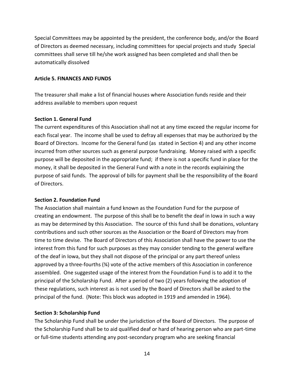Special Committees may be appointed by the president, the conference body, and/or the Board of Directors as deemed necessary, including committees for special projects and study Special committees shall serve till he/she work assigned has been completed and shall then be automatically dissolved

#### **Article 5. FINANCES AND FUNDS**

The treasurer shall make a list of financial houses where Association funds reside and their address available to members upon request

#### **Section 1. General Fund**

The current expenditures of this Association shall not at any time exceed the regular income for each fiscal year. The income shall be used to defray all expenses that may be authorized by the Board of Directors. Income for the General fund (as stated in Section 4) and any other income incurred from other sources such as general purpose fundraising. Money raised with a specific purpose will be deposited in the appropriate fund; if there is not a specific fund in place for the money, it shall be deposited in the General Fund with a note in the records explaining the purpose of said funds. The approval of bills for payment shall be the responsibility of the Board of Directors.

#### **Section 2. Foundation Fund**

The Association shall maintain a fund known as the Foundation Fund for the purpose of creating an endowment. The purpose of this shall be to benefit the deaf in Iowa in such a way as may be determined by this Association. The source of this fund shall be donations, voluntary contributions and such other sources as the Association or the Board of Directors may from time to time devise. The Board of Directors of this Association shall have the power to use the interest from this fund for such purposes as they may consider tending to the general welfare of the deaf in Iowa, but they shall not dispose of the principal or any part thereof unless approved by a three-fourths (¾) vote of the active members of this Association in conference assembled. One suggested usage of the interest from the Foundation Fund is to add it to the principal of the Scholarship Fund. After a period of two (2) years following the adoption of these regulations, such interest as is not used by the Board of Directors shall be asked to the principal of the fund. (Note: This block was adopted in 1919 and amended in 1964).

#### **Section 3: Scholarship Fund**

The Scholarship Fund shall be under the jurisdiction of the Board of Directors. The purpose of the Scholarship Fund shall be to aid qualified deaf or hard of hearing person who are part-time or full-time students attending any post-secondary program who are seeking financial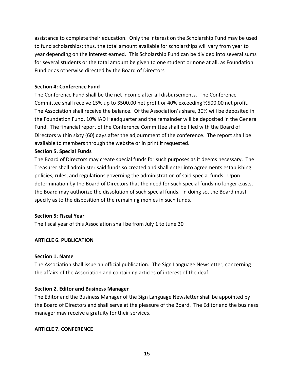assistance to complete their education. Only the interest on the Scholarship Fund may be used to fund scholarships; thus, the total amount available for scholarships will vary from year to year depending on the interest earned. This Scholarship Fund can be divided into several sums for several students or the total amount be given to one student or none at all, as Foundation Fund or as otherwise directed by the Board of Directors

#### **Section 4: Conference Fund**

The Conference Fund shall be the net income after all disbursements. The Conference Committee shall receive 15% up to \$500.00 net profit or 40% exceeding %500.00 net profit. The Association shall receive the balance. Of the Association's share, 30% will be deposited in the Foundation Fund, 10% IAD Headquarter and the remainder will be deposited in the General Fund. The financial report of the Conference Committee shall be filed with the Board of Directors within sixty (60) days after the adjournment of the conference. The report shall be available to members through the website or in print if requested.

#### **Section 5. Special Funds**

The Board of Directors may create special funds for such purposes as it deems necessary. The Treasurer shall administer said funds so created and shall enter into agreements establishing policies, rules, and regulations governing the administration of said special funds. Upon determination by the Board of Directors that the need for such special funds no longer exists, the Board may authorize the dissolution of such special funds. In doing so, the Board must specify as to the disposition of the remaining monies in such funds.

#### **Section 5: Fiscal Year**

The fiscal year of this Association shall be from July 1 to June 30

#### **ARTICLE 6. PUBLICATION**

#### **Section 1. Name**

The Association shall issue an official publication. The Sign Language Newsletter, concerning the affairs of the Association and containing articles of interest of the deaf.

#### **Section 2. Editor and Business Manager**

The Editor and the Business Manager of the Sign Language Newsletter shall be appointed by the Board of Directors and shall serve at the pleasure of the Board. The Editor and the business manager may receive a gratuity for their services.

#### **ARTICLE 7. CONFERENCE**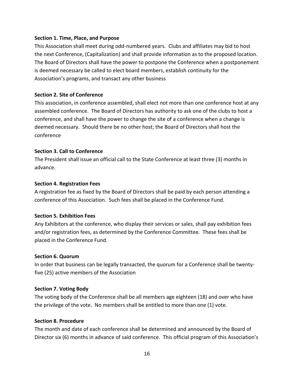#### **Section 1. Time, Place, and Purpose**

This Association shall meet during odd-numbered years. Clubs and affiliates may bid to host the next Conference, (Capitalization) and shall provide information as to the proposed location. The Board of Directors shall have the power to postpone the Conference when a postponement is deemed necessary be called to elect board members, establish continuity for the Association's programs, and transact any other business

#### **Section 2. Site of Conference**

This association, in conference assembled, shall elect not more than one conference host at any assembled conference. The Board of Directors has authority to ask one of the clubs to host a conference, and shall have the power to change the site of a conference when a change is deemed necessary. Should there be no other host; the Board of Directors shall host the conference

#### **Section 3. Call to Conference**

The President shall issue an official call to the State Conference at least three (3) months in advance.

#### **Section 4. Registration Fees**

A registration fee as fixed by the Board of Directors shall be paid by each person attending a conference of this Association. Such fees shall be placed in the Conference Fund.

#### **Section 5. Exhibition Fees**

Any Exhibitors at the conference, who display their services or sales, shall pay exhibition fees and/or registration fees, as determined by the Conference Committee. These fees shall be placed in the Conference Fund.

#### **Section 6. Quorum**

In order that business can be legally transacted, the quorum for a Conference shall be twentyfive (25) active members of the Association

#### **Section 7. Voting Body**

The voting body of the Conference shall be all members age eighteen (18) and over who have the privilege of the vote. No members shall be entitled to more than one (1) vote.

#### **Section 8. Procedure**

The month and date of each conference shall be determined and announced by the Board of Director six (6) months in advance of said conference. This official program of this Association's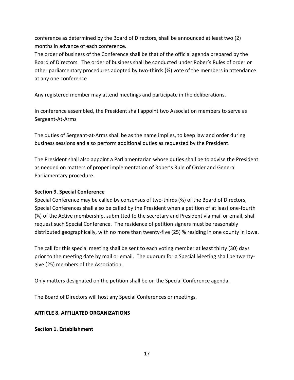conference as determined by the Board of Directors, shall be announced at least two (2) months in advance of each conference.

The order of business of the Conference shall be that of the official agenda prepared by the Board of Directors. The order of business shall be conducted under Rober's Rules of order or other parliamentary procedures adopted by two-thirds (⅔) vote of the members in attendance at any one conference

Any registered member may attend meetings and participate in the deliberations.

In conference assembled, the President shall appoint two Association members to serve as Sergeant-At-Arms

The duties of Sergeant-at-Arms shall be as the name implies, to keep law and order during business sessions and also perform additional duties as requested by the President.

The President shall also appoint a Parliamentarian whose duties shall be to advise the President as needed on matters of proper implementation of Rober's Rule of Order and General Parliamentary procedure.

## **Section 9. Special Conference**

Special Conference may be called by consensus of two-thirds (⅔) of the Board of Directors, Special Conferences shall also be called by the President when a petition of at least one-fourth (¼) of the Active membership, submitted to the secretary and President via mail or email, shall request such Special Conference. The residence of petition signers must be reasonably distributed geographically, with no more than twenty-five (25) % residing in one county in Iowa.

The call for this special meeting shall be sent to each voting member at least thirty (30) days prior to the meeting date by mail or email. The quorum for a Special Meeting shall be twentygive (25) members of the Association.

Only matters designated on the petition shall be on the Special Conference agenda.

The Board of Directors will host any Special Conferences or meetings.

## **ARTICLE 8. AFFILIATED ORGANIZATIONS**

**Section 1. Establishment**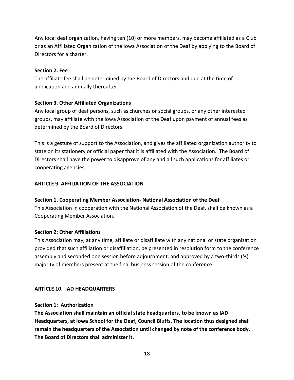Any local deaf organization, having ten (10) or more members, may become affiliated as a Club or as an Affiliated Organization of the Iowa Association of the Deaf by applying to the Board of Directors for a charter.

## **Section 2. Fee**

The affiliate fee shall be determined by the Board of Directors and due at the time of application and annually thereafter.

## **Section 3. Other Affiliated Organizations**

Any local group of deaf persons, such as churches or social groups, or any other interested groups, may affiliate with the Iowa Association of the Deaf upon payment of annual fees as determined by the Board of Directors.

This is a gesture of support to the Association, and gives the affiliated organization authority to state on its stationery or official paper that it is affiliated with the Association. The Board of Directors shall have the power to disapprove of any and all such applications for affiliates or cooperating agencies.

## **ARTICLE 9. AFFILIATION OF THE ASSOCIATION**

## **Section 1. Cooperating Member Association- National Association of the Deaf**

This Association in cooperation with the National Association of the Deaf, shall be known as a Cooperating Member Association.

## **Section 2: Other Affiliations**

This Association may, at any time, affiliate or disaffiliate with any national or state organization provided that such affiliation or disaffiliation, be presented in resolution form to the conference assembly and seconded one session before adjournment, and approved by a two-thirds  $(*)$ majority of members present at the final business session of the conference.

## **ARTICLE 10. IAD HEADQUARTERS**

## **Section 1: Authorization**

**The Association shall maintain an official state headquarters, to be known as IAD Headquarters, at Iowa School for the Deaf, Council Bluffs. The location thus designed shall remain the headquarters of the Association until changed by note of the conference body. The Board of Directors shall administer it.**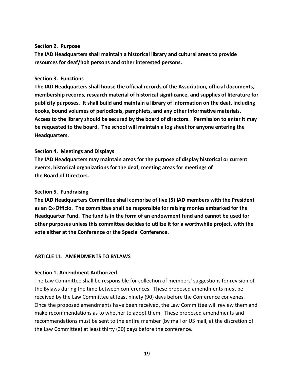#### **Section 2. Purpose**

**The IAD Headquarters shall maintain a historical library and cultural areas to provide resources for deaf/hoh persons and other interested persons.**

#### **Section 3. Functions**

**The IAD Headquarters shall house the official records of the Association, official documents, membership records, research material of historical significance, and supplies of literature for publicity purposes. It shall build and maintain a library of information on the deaf, including books, bound volumes of periodicals, pamphlets, and any other informative materials. Access to the library should be secured by the board of directors. Permission to enter it may be requested to the board. The school will maintain a log sheet for anyone entering the Headquarters.**

#### **Section 4. Meetings and Displays**

**The IAD Headquarters may maintain areas for the purpose of display historical or current events, historical organizations for the deaf, meeting areas for meetings of the Board of Directors.**

#### **Section 5. Fundraising**

**The IAD Headquarters Committee shall comprise of five (5) IAD members with the President as an Ex-Officio. The committee shall be responsible for raising monies embarked for the Headquarter Fund. The fund is in the form of an endowment fund and cannot be used for other purposes unless this committee decides to utilize it for a worthwhile project, with the vote either at the Conference or the Special Conference.**

#### **ARTICLE 11. AMENDMENTS TO BYLAWS**

#### **Section 1. Amendment Authorized**

The Law Committee shall be responsible for collection of members' suggestions for revision of the Bylaws during the time between conferences. These proposed amendments must be received by the Law Committee at least ninety (90) days before the Conference convenes. Once the proposed amendments have been received, the Law Committee will review them and make recommendations as to whether to adopt them. These proposed amendments and recommendations must be sent to the entire member (by mail or US mail, at the discretion of the Law Committee) at least thirty (30) days before the conference.